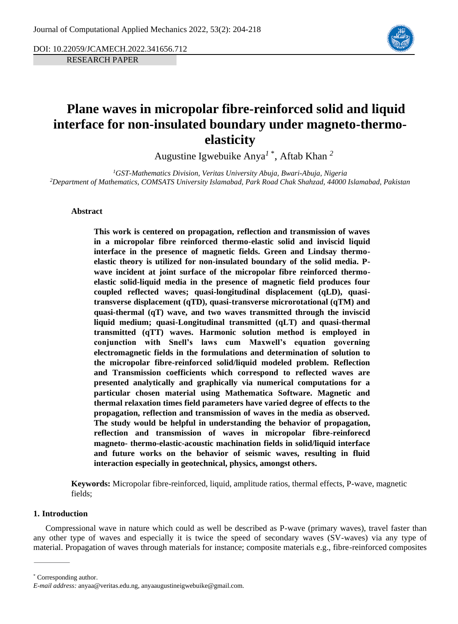DOI: 10.22059/JCAMECH.2022.341656.712

RESEARCH PAPER



# **Plane waves in micropolar fibre-reinforced solid and liquid interface for non-insulated boundary under magneto-thermoelasticity**

Augustine Igwebuike Anya*<sup>1</sup>* \* , Aftab Khan *<sup>2</sup>*

*<sup>1</sup>GST-Mathematics Division, Veritas University Abuja, Bwari-Abuja, Nigeria <sup>2</sup>Department of Mathematics, COMSATS University Islamabad, Park Road Chak Shahzad, 44000 Islamabad, Pakistan*

# **Abstract**

**This work is centered on propagation, reflection and transmission of waves in a micropolar fibre reinforced thermo-elastic solid and inviscid liquid interface in the presence of magnetic fields. Green and Lindsay thermoelastic theory is utilized for non-insulated boundary of the solid media. Pwave incident at joint surface of the micropolar fibre reinforced thermoelastic solid-liquid media in the presence of magnetic field produces four coupled reflected waves; quasi-longitudinal displacement (qLD), quasitransverse displacement (qTD), quasi-transverse microrotational (qTM) and quasi-thermal (qT) wave, and two waves transmitted through the inviscid liquid medium; quasi-Longitudinal transmitted (qLT) and quasi-thermal transmitted (qTT) waves. Harmonic solution method is employed in conjunction with Snell's laws cum Maxwell's equation governing electromagnetic fields in the formulations and determination of solution to the micropolar fibre-reinforced solid/liquid modeled problem. Reflection and Transmission coefficients which correspond to reflected waves are presented analytically and graphically via numerical computations for a particular chosen material using Mathematica Software. Magnetic and thermal relaxation times field parameters have varied degree of effects to the propagation, reflection and transmission of waves in the media as observed. The study would be helpful in understanding the behavior of propagation, reflection and transmission of waves in micropolar fibre-reinforecd magneto- thermo-elastic-acoustic machination fields in solid/liquid interface and future works on the behavior of seismic waves, resulting in fluid interaction especially in geotechnical, physics, amongst others.**

**Keywords:** Micropolar fibre-reinforced, liquid, amplitude ratios, thermal effects, P-wave, magnetic fields;

# **1. Introduction**

Compressional wave in nature which could as well be described as P-wave (primary waves), travel faster than any other type of waves and especially it is twice the speed of secondary waves (SV-waves) via any type of material. Propagation of waves through materials for instance; composite materials e.g., fibre-reinforced composites

<sup>\*</sup> Corresponding author.

*E-mail address:* anyaa@veritas.edu.ng, anyaaugustineigwebuike@gmail.com.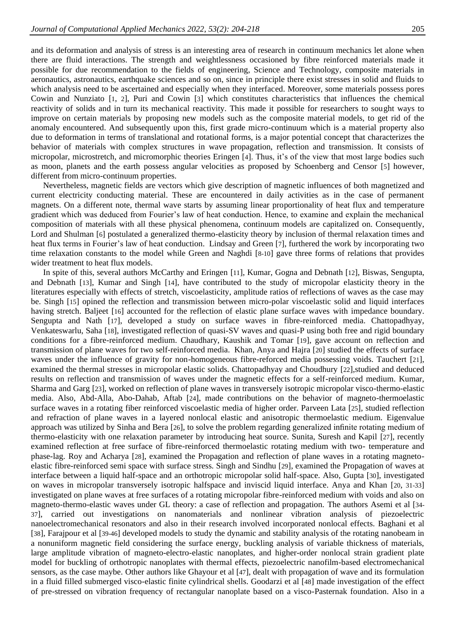and its deformation and analysis of stress is an interesting area of research in continuum mechanics let alone when there are fluid interactions. The strength and weightlessness occasioned by fibre reinforced materials made it possible for due recommendation to the fields of engineering, Science and Technology, composite materials in aeronautics, astronautics, earthquake sciences and so on, since in principle there exist stresses in solid and fluids to which analysis need to be ascertained and especially when they interfaced. Moreover, some materials possess pores Cowin and Nunziato [[1](#page-10-0), [2](#page-10-1)], Puri and Cowin [[3](#page-11-0)] which constitutes characteristics that influences the chemical reactivity of solids and in turn its mechanical reactivity. This made it possible for researchers to sought ways to improve on certain materials by proposing new models such as the composite material models, to get rid of the anomaly encountered. And subsequently upon this, first grade micro-continuum which is a material property also due to deformation in terms of translational and rotational forms, is a major potential concept that characterizes the behavior of materials with complex structures in wave propagation, reflection and transmission. It consists of micropolar, microstretch, and micromorphic theories Eringen [[4](#page-11-1)]. Thus, it's of the view that most large bodies such as moon, planets and the earth possess angular velocities as proposed by Schoenberg and Censor [[5](#page-11-2)] however, different from micro-continuum properties.

Nevertheless, magnetic fields are vectors which give description of magnetic influences of both magnetized and current electricity conducting material. These are encountered in daily activities as in the case of permanent magnets. On a different note, thermal wave starts by assuming linear proportionality of heat flux and temperature gradient which was deduced from Fourier's law of heat conduction. Hence, to examine and explain the mechanical composition of materials with all these physical phenomena, continuum models are capitalized on. Consequently, Lord and Shulman [[6](#page-11-3)] postulated a generalized thermo-elasticity theory by inclusion of thermal relaxation times and heat flux terms in Fourier's law of heat conduction. Lindsay and Green [[7](#page-11-4)], furthered the work by incorporating two time relaxation constants to the model while Green and Naghdi [[8-10](#page-11-5)] gave three forms of relations that provides wider treatment to heat flux models.

In spite of this, several authors McCarthy and Eringen [[11](#page-11-6)], Kumar, Gogna and Debnath [[12](#page-11-7)], Biswas, Sengupta, and Debnath [[13](#page-11-8)], Kumar and Singh [[14](#page-11-9)], have contributed to the study of micropolar elasticity theory in the literatures especially with effects of stretch, viscoelasticity, amplitude ratios of reflections of waves as the case may be. Singh [[15](#page-11-10)] opined the reflection and transmission between micro-polar viscoelastic solid and liquid interfaces having stretch. Baljeet [[16](#page-11-11)] accounted for the reflection of elastic plane surface waves with impedance boundary. Sengupta and Nath [[17](#page-11-12)], developed a study on surface waves in fibre-reinforced media. Chattopadhyay, Venkateswarlu, Saha [[18](#page-11-13)], investigated reflection of quasi-SV waves and quasi-P using both free and rigid boundary conditions for a fibre-reinforced medium. Chaudhary, Kaushik and Tomar [[19](#page-11-14)], gave account on reflection and transmission of plane waves for two self-reinforced media. Khan, Anya and Hajra [[20](#page-11-15)] studied the effects of surface waves under the influence of gravity for non-homogeneous fibre-reforced media possessing voids. Tauchert [[21](#page-11-16)], examined the thermal stresses in micropolar elastic solids. Chattopadhyay and Choudhury [[22](#page-11-17)], studied and deduced results on reflection and transmission of waves under the magnetic effects for a self-reinforced medium. Kumar, Sharma and Garg [[23](#page-11-18)], worked on reflection of plane waves in transversely isotropic micropolar visco-thermo-elastic media. Also, Abd-Alla, Abo-Dahab, Aftab [[24](#page-11-19)], made contributions on the behavior of magneto-thermoelastic surface waves in a rotating fiber reinforced viscoelastic media of higher order. Parveen Lata [[25](#page-11-20)], studied reflection and refraction of plane waves in a layered nonlocal elastic and anisotropic thermoelastic medium. Eigenvalue approach was utilized by Sinha and Bera [[26](#page-11-21)], to solve the problem regarding generalized infinite rotating medium of thermo-elasticity with one relaxation parameter by introducing heat source. Sunita, Suresh and Kapil [[27](#page-12-0)], recently examined reflection at free surface of fibre-reinforced thermoelastic rotating medium with two- temperature and phase-lag. Roy and Acharya [[28](#page-12-1)], examined the Propagation and reflection of plane waves in a rotating magnetoelastic fibre-reinforced semi space with surface stress. Singh and Sindhu [[29](#page-12-2)], examined the Propagation of waves at interface between a liquid half-space and an orthotropic micropolar solid half-space. Also, Gupta [[30](#page-12-3)], investigated on waves in micropolar transversely isotropic halfspace and inviscid liquid interface. Anya and Khan [[20](#page-11-15), [31-33](#page-12-4)] investigated on plane waves at free surfaces of a rotating micropolar fibre-reinforced medium with voids and also on magneto-thermo-elastic waves under GL theory: a case of reflection and propagation. The authors Asemi et al [[34-](#page-12-5) [37](#page-12-5)], carried out investigations on nanomaterials and nonlinear vibration analysis of piezoelectric nanoelectromechanical resonators and also in their research involved incorporated nonlocal effects. Baghani et al [[38](#page-12-6)], Farajpour et al [[39-46](#page-12-7)] developed models to study the dynamic and stability analysis of the rotating nanobeam in a nonuniform magnetic field considering the surface energy, buckling analysis of variable thickness of materials, large amplitude vibration of magneto-electro-elastic nanoplates, and higher-order nonlocal strain gradient plate model for buckling of orthotropic nanoplates with thermal effects, piezoelectric nanofilm-based electromechanical sensors, as the case maybe. Other authors like Ghayour et al [[47](#page-13-0)], dealt with propagation of wave and its formulation in a fluid filled submerged visco-elastic finite cylindrical shells. Goodarzi et al [[48](#page-13-1)] made investigation of the effect of pre-stressed on vibration frequency of rectangular nanoplate based on a visco-Pasternak foundation. Also in a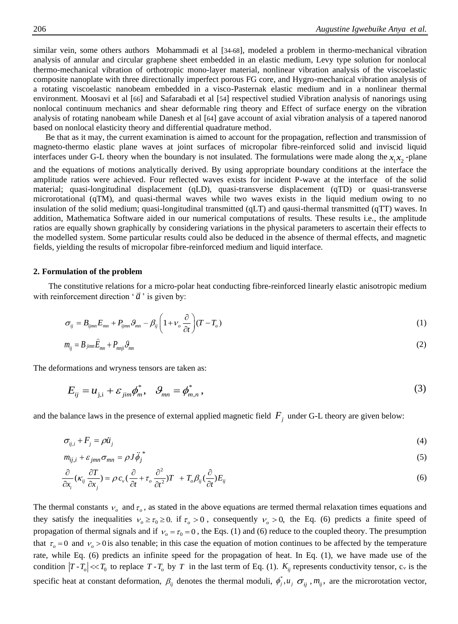similar vein, some others authors Mohammadi et al [[34-68](#page-12-5)], modeled a problem in thermo-mechanical vibration analysis of annular and circular graphene sheet embedded in an elastic medium, Levy type solution for nonlocal thermo-mechanical vibration of orthotropic mono-layer material, nonlinear vibration analysis of the viscoelastic composite nanoplate with three directionally imperfect porous FG core, and Hygro-mechanical vibration analysis of a rotating viscoelastic nanobeam embedded in a visco-Pasternak elastic medium and in a nonlinear thermal environment. Moosavi et al [[66](#page-14-0)] and Safarabadi et al [[54](#page-13-2)] respectivel studied Vibration analysis of nanorings using nonlocal continuum mechanics and shear deformable ring theory and Effect of surface energy on the vibration analysis of rotating nanobeam while Danesh et al [[64](#page-13-3)] gave account of axial vibration analysis of a tapered nanorod based on nonlocal elasticity theory and differential quadrature method.

Be that as it may, the current examination is aimed to account for the propagation, reflection and transmission of magneto-thermo elastic plane waves at joint surfaces of micropolar fibre-reinforced solid and inviscid liquid interfaces under G-L theory when the boundary is not insulated. The formulations were made along the  $x_1x_2$ -plane and the equations of motions analytically derived. By using appropriate boundary conditions at the interface the amplitude ratios were achieved. Four reflected waves exists for incident P-wave at the interface of the solid material; quasi-longitudinal displacement (qLD), quasi-transverse displacement (qTD) or quasi-transverse microrotational (qTM), and quasi-thermal waves while two waves exists in the liquid medium owing to no insulation of the solid medium; quasi-longitudinal transmitted (qLT) and qausi-thermal transmitted (qTT) waves. In addition, Mathematica Software aided in our numerical computations of results. These results i.e., the amplitude ratios are equally shown graphically by considering variations in the physical parameters to ascertain their effects to the modelled system. Some particular results could also be deduced in the absence of thermal effects, and magnetic fields, yielding the results of micropolar fibre-reinforced medium and liquid interface.

## **2. Formulation of the problem**

The constitutive relations for a micro-polar heat conducting fibre-reinforced linearly elastic anisotropic medium with reinforcement direction  $\hat{a}$  is given by:

$$
\sigma_{ij} = B_{ijmn} E_{mn} + P_{ijmn} \mathcal{G}_{mn} - \beta_{ij} \left( 1 + v_o \frac{\partial}{\partial t} \right) (T - T_o)
$$
\n(1)

$$
m_{ij} = B_{jimm} \ddot{E}_{mn} + P_{mij} \partial_{mn} \tag{2}
$$

The deformations and wryness tensors are taken as:

$$
E_{ij} = u_{j,i} + \varepsilon_{jim}\phi_m^*, \quad \mathcal{G}_{mn} = \phi_{m,n}^*, \tag{3}
$$

and the balance laws in the presence of external applied magnetic field  $F_j$  under G-L theory are given below:

$$
\sigma_{ij,i} + F_j = \rho \ddot{u}_j \tag{4}
$$

$$
m_{ij,i} + \varepsilon_{jmn}\sigma_{mn} = \rho J\ddot{\phi}_j^* \tag{5}
$$

$$
\frac{\partial}{\partial x_i}(\kappa_{ij}\frac{\partial T}{\partial x_j}) = \rho c_v(\frac{\partial}{\partial t} + \tau_o \frac{\partial^2}{\partial t^2})T + T_o\beta_{ij}(\frac{\partial}{\partial t})E_{ij}
$$
(6)

The thermal constants  $v_o$  and  $\tau_o$ , as stated in the above equations are termed thermal relaxation times equations and they satisfy the inequalities  $v_0 \ge \tau_0 \ge 0$ . if  $\tau_0 > 0$ , consequently  $v_0 > 0$ , the Eq. (6) predicts a finite speed of propagation of thermal signals and if  $v_0 = \tau_0 = 0$ , the Eqs. (1) and (6) reduce to the coupled theory. The presumption that  $\tau_o = 0$  and  $v_o > 0$  is also tenable; in this case the equation of motion continues to be affected by the temperature rate, while Eq. (6) predicts an infinite speed for the propagation of heat. In Eq. (1), we have made use of the condition  $|T - T_o| \ll T_0$  to replace  $T - T_o$  by  $T$  in the last term of Eq. (1).  $K_{ij}$  represents conductivity tensor, c<sub>v</sub> is the specific heat at constant deformation,  $\beta_{ij}$  denotes the thermal moduli,  $\phi_j^*$ ,  $u_j$ ,  $\sigma_{ij}$ ,  $m_{ij}$ , are the microrotation vector,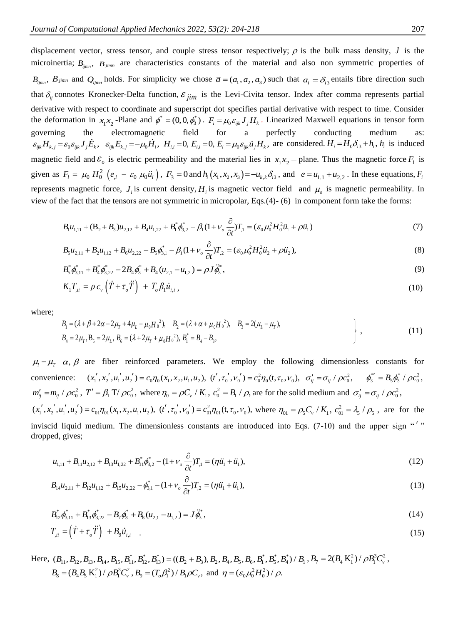displacement vector, stress tensor, and couple stress tensor respectively;  $\rho$  is the bulk mass density,  $J$  is the microinertia;  $B_{ijmn}$ ,  $B_{jimn}$  are characteristics constants of the material and also non symmetric properties of  $B_{ijmn}$ ,  $B_{jimn}$  and  $Q_{ijmn}$  holds. For simplicity we chose  $\vec{a} = (a_1, a_2, a_3)$  such that  $a_i = \delta_{i3}$  entails fibre direction such that  $\delta_{ij}$  connotes Kronecker-Delta function,  $\varepsilon_{jim}$  is the Levi-Civita tensor. Index after comma represents partial derivative with respect to coordinate and superscript dot specifies partial derivative with respect to time. Consider the deformation in  $x_1x_2$ -Plane and  $\phi^* = (0,0,\phi_3^*)$ .  $F_i = \mu_0 \varepsilon_{ijk} J_j H_k$ . Linearized Maxwell equations in tensor form governing the electromagnetic field for a perfectly conducting medium as:  $\varepsilon_{ijk}H_{k,j} = \varepsilon_0 \varepsilon_{ijk}J_j \dot{E}_k$ ,  $\varepsilon_{ijk}E_{k,j} = -\mu_0 \dot{H}_i$ ,  $H_{i,j} = 0$ ,  $E_{i,j} = 0$ ,  $E_i = \mu_0 \varepsilon_{ijk} \dot{u}_j H_k$ , are considered.  $H_i = H_0 \delta_{i3} + h_i$ ,  $h_i$  is induced magnetic field and  $\varepsilon_o$  is electric permeability and the material lies in  $x_1x_2$  – plane. Thus the magnetic force  $F_i$  is given as  $F_i = \mu_0 H_0^2 (e_{i} - \varepsilon_0 \mu_0 \ddot{u}_i)$ ,  $F_3 = 0$  and  $h_i(x_1, x_2, x_3) = -u_{k,k} \delta_{i3}$ , and  $e = u_{1,1} + u_{2,2}$ . In these equations,  $F_i$ represents magnetic force,  $J_i$  is current density,  $H_i$  is magnetic vector field and  $\mu_o$  is magnetic permeability. In view of the fact that the tensors are not symmetric in micropolar, Eqs.(4)- (6) in component form take the forms:

$$
B_1 u_{1,11} + (B_2 + B_3) u_{2,12} + B_4 u_{1,22} + B_1^* \phi_{3,2}^* - \beta_1 (1 + \nu_o \frac{\partial}{\partial t}) T_1 = (\varepsilon_0 \mu_0^2 H_0^2 \ddot{u}_1 + \rho \ddot{u}_1)
$$
(7)

$$
B_5 u_{2,11} + B_2 u_{1,12} + B_6 u_{2,22} - B_5 \phi_{3,1}^* - \beta_1 (1 + \nu_o \frac{\partial}{\partial t}) T_2 = (\varepsilon_0 \mu_0^2 H_0^2 \ddot{u}_2 + \rho \ddot{u}_2),
$$
\n(8)

$$
B_5^* \phi_{3,11}^* + B_4^* \phi_{3,22}^* - 2B_4 \phi_3^* + B_4 (u_{2,1} - u_{1,2}) = \rho J \ddot{\phi}_3^*,
$$
\n(9)

$$
K_1 T_{ii} = \rho c_v \left( \dot{T} + \tau_o \ddot{T} \right) + T_o \beta_i \dot{u}_{i,i} , \qquad (10)
$$

where;

$$
B_1 = (\lambda + \beta + 2\alpha - 2\mu_T + 4\mu_L + \mu_0 H_0^2), \quad B_2 = (\lambda + \alpha + \mu_0 H_0^2), \quad B_3 = 2(\mu_L - \mu_T),
$$
  
\n
$$
B_4 = 2\mu_T, B_5 = 2\mu_L, B_6 = (\lambda + 2\mu_T + \mu_0 H_0^2), B_1^* = B_4 - B_3,
$$
\n(11)

 $\mu_1 - \mu_T \alpha$ ,  $\beta$  are fiber reinforced parameters. We employ the following dimensionless constants for convenience:  $(x'_1, x'_2, u'_1, u'_2) = c_0 \eta_0(x_1, x_2, u_1, u_2)$ ,  $(t', \tau'_0, v'_0) = c_0^2 \eta_0(t, \tau_0, v_0)$ ,  $\sigma'_{ij} = \sigma_{ij} / \rho c_0^2$ ,  $\phi_3^{*'} = B_5 \phi_3^* / \rho c_0^2$ ,  $m'_{ij} = m_{ij} / \rho c_0^2$ ,  $T' = \beta_1 T / \rho c_0^2$ , where  $\eta_0 = \rho C_v / K_1$ ,  $c_0^2 = B_1 / \rho$ , are for the solid medium and  $\sigma'_{ij} = \sigma_{ij} / \rho c_0^2$ ,

 $(x'_1, x'_2, u'_1, u'_2) = c_{01} \eta_{01}(x_1, x_2, u_1, u_2)$ ,  $(t', \tau_0', v_0') = c_{01}^2 \eta_{01}(t, \tau_0, v_0)$ , where  $\eta_{01} = \rho_5 C_v / K_1$ ,  $c_{01}^2 = \lambda_5 / \rho_5$ , are for the inviscid liquid medium. The dimensionless constants are introduced into Eqs. (7-10) and the upper sign "'" dropped, gives;

$$
u_{1,11} + B_{11}u_{2,12} + B_{13}u_{1,22} + B_{11}^* \phi_{3,2}^* - (1 + \nu_o \frac{\partial}{\partial t})T_1 = (\eta \ddot{u}_1 + \ddot{u}_1),
$$
\n(12)

$$
B_{14}u_{2,11} + B_{12}u_{1,12} + B_{15}u_{2,22} - \phi_{3,1}^* - (1 + \nu_o \frac{\partial}{\partial t})T_{,2} = (\eta \ddot{u}_1 + \ddot{u}_1),
$$
\n(13)

$$
B_{12}^* \phi_{3,11}^* + B_{13}^* \phi_{3,22}^* - B_7 \phi_3^* + B_8 (u_{2,1} - u_{1,2}) = J \dot{\phi}_3^*,
$$
  
\n
$$
T_{ii} = (\dot{T} + \tau_o \ddot{T}) + B_9 \dot{u}_{i,i}.
$$
\n(14)

Here,  $(B_{11}, B_{12}, B_{13}, B_{14}, B_{15}, B_{11}^*, B_{12}^*, B_{13}^*) = ((B_2 + B_3), B_2, B_4, B_5, B_6, B_1^*, B_5^*, B_4^*) / B_1, B_7 = 2(B_4 K_1^2) / \rho B_1^3 C_v^2$  $B_8 = (B_4 B_5 K_1^2) / \rho B_1^3 C_v^2$ ,  $B_9 = (T_o \beta_1^2) / B_1 \rho C_v$ , and  $\eta = (\varepsilon_0 \mu_0^2 H_0^2) / \rho$ .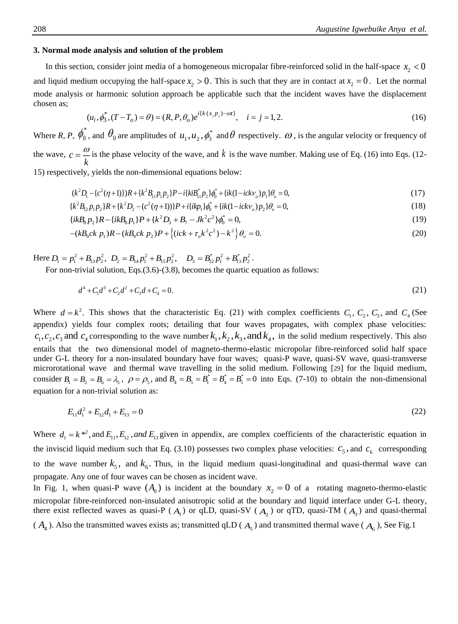## **3. Normal mode analysis and solution of the problem**

In this section, consider joint media of a homogeneous micropalar fibre-reinforced solid in the half-space  $x_2 < 0$ and liquid medium occupying the half-space  $x_2 > 0$ . This is such that they are in contact at  $x_2 = 0$ . Let the normal mode analysis or harmonic solution approach be applicable such that the incident waves have the displacement chosen as;

$$
(u_i, \phi_3^*, (T - T_o) = \theta) = (R, P, \theta_o) e^{i\{k(x, p_j) - \omega t\}}, \quad i = j = 1, 2.
$$
 (16)

Where *R, P,*  $\phi_0^*$ , and  $\theta_0$  are amplitudes of  $u_1, u_2, \phi_3^*$  and  $\theta$  respectively.  $\omega$ , is the angular velocity or frequency of the wave,  $c = \frac{w}{k}$  $=\frac{\omega}{\omega}$  is the phase velocity of the wave, and k is the wave number. Making use of Eq. (16) into Eqs. (12-15) respectively, yields the non-dimensional equations below:

$$
(k^{2}D_{1} - \{c^{2}(\eta + 1)\})R + \{k^{2}B_{11}p_{1}p_{2}\}P - i\{kib_{11}^{*}p_{2}\}\phi_{0}^{*} + \{ik(1 - ickv_{o})p_{1}\}\theta_{o} = 0,
$$
\n(17)

$$
{k^2 B_{12} p_1 p_2} R + {k^2 D_2 - (c^2 (\eta + 1))} P + i {ik p_1} \phi_0^* + {ik (1 - ic k v_o) p_2} \theta_o = 0,
$$
  
\n
$$
{ik B_8 p_2} R - {ik B_8 p_1} P + {k^2 D_3 + B_7 - J k^2 c^2} \phi_0^* = 0,
$$
\n(19)

$$
\{ikB_8p_2\}R - \{ikB_8p_1\}P + \{k^2D_3 + B_7 - Jk^2c^2\}\phi_0^* = 0,\tag{19}
$$

$$
-(kB_9ck\ p_1)R - (kB_9ck\ p_2)P + \{(ick + \tau_0k^2c^2) - k^2\}\theta_0 = 0.
$$
\n(20)

Here  $D_1 = p_1^2 + B_{13}p_2^2$ ,  $D_2 = B_{14}p_1^2 + B_{15}p_2^2$ ,  $D_3 = B_{12}^*p_1^2 + B_{13}^*p_2^2$ .

For non-trivial solution, Eqs.(3.6)-(3.8), becomes the quartic equation as follows:

$$
d^4 + C_1 d^3 + C_2 d^2 + C_3 d + C_4 = 0.
$$
\n(21)

Where  $d = k^2$ . This shows that the characteristic Eq. (21) with complex coefficients  $C_1$ ,  $C_2$ ,  $C_3$ , and  $C_4$  (See appendix) yields four complex roots; detailing that four waves propagates, with complex phase velocities:  $c_1, c_2, c_3$  and  $c_4$  corresponding to the wave number  $k_1, k_2, k_3$ , and  $k_4$ , in the solid medium respectively. This also entails that the two dimensional model of magneto-thermo-elastic micropolar fibre-reinforced solid half space under G-L theory for a non-insulated boundary have four waves; quasi-P wave, quasi-SV wave, quasi-transverse microrotational wave and thermal wave travelling in the solid medium. Following [[29](#page-12-2)] for the liquid medium, consider  $B_1 = B_2 = B_6 = \lambda_s$ ,  $\rho = \rho_s$ , and  $B_4 = B_5 = B_1^* = B_4^* = B_5^* = 0$  into Eqs. (7-10) to obtain the non-dimensional equation for a non-trivial solution as:

$$
E_{11}d_1^2 + E_{12}d_1 + E_{13} = 0 \tag{22}
$$

Where  $d_1 = k^{*2}$ , and  $E_{11}$ ,  $E_{12}$ , and  $E_{13}$  given in appendix, are complex coefficients of the characteristic equation in the inviscid liquid medium such that Eq. (3.10) possesses two complex phase velocities:  $c_5$ , and  $c_6$  corresponding to the wave number  $k_5$ , and  $k_6$ . Thus, in the liquid medium quasi-longitudinal and quasi-thermal wave can propagate. Any one of four waves can be chosen as incident wave.

In Fig. 1, when quasi-P wave  $(A_0)$  is incident at the boundary  $x_2 = 0$  of a rotating magneto-thermo-elastic micropolar fibre-reinforced non-insulated anisotropic solid at the boundary and liquid interface under G-L theory, there exist reflected waves as quasi-P ( $A_1$ ) or qLD, quasi-SV ( $A_2$ ) or qTD, quasi-TM ( $A_3$ ) and quasi-thermal

 $(A_4)$ . Also the transmitted waves exists as; transmitted qLD ( $A_5$ ) and transmitted thermal wave ( $A_6$ ), See Fig.1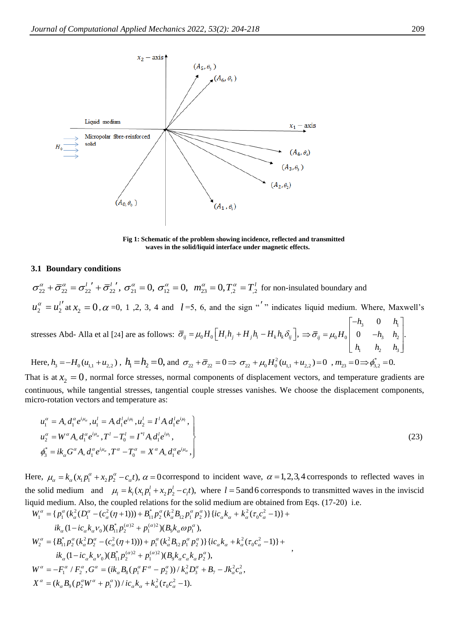

**Fig 1: Schematic of the problem showing incidence, reflected and transmitted waves in the solid/liquid interface under magnetic effects.**

#### **3.1 Boundary conditions**

 $\sigma_{22}^{\alpha} + \bar{\sigma}_{22}^{\alpha} = \sigma_{22}^{l'} + \bar{\sigma}_{22}^{l'}$ ,  $\sigma_{21}^{\alpha} = 0$ ,  $\sigma_{12}^{\alpha} = 0$ ,  $m_{23}^{\alpha} = 0$ ,  $T_{,2}^{\alpha} = T_{,2}^{l}$  for non-insulated boundary and 2 2  $u_2^{\alpha} = u_2^{\beta}$ at  $x_2 = 0$ ,  $\alpha = 0$ , 1,2, 3, 4 and  $l = 5$ , 6, and the sign "'" indicates liquid medium. Where, Maxwell's stresses Abd- Alla et al [[24](#page-11-19)] are as follows:  $\overline{\sigma}_{ij} = \mu_0 H_0 \left[ H_i h_j + H_j h_i - H_k h_k \delta_{ij} \right]$ ,  $\Rightarrow \overline{\sigma}_{ij} = \mu_0 H_0 \begin{vmatrix} h_3 & h_2 & h_3 \\ 0 & -h_3 & h_2 \end{vmatrix}$  $(0 - 0)$   $(0 - 1)$ 1  $\frac{1}{2}$   $\frac{1}{3}$ 0  $\mu_{ij} = \mu_0 H_0 \begin{vmatrix} 0 & -h_3 & h_2 \end{vmatrix}$ . *h h*  $H_0$  0  $-h$  *h h h h*  $\sigma_{ii} = \mu$  $\begin{bmatrix} -h_3 & 0 & h_1 \end{bmatrix}$  $\Rightarrow \overline{\sigma}_{ij} = \mu_0 H_0 \begin{vmatrix} 0 & -h_3 & h_2 \end{vmatrix}$  $\begin{bmatrix} h_1 & h_2 & h_3 \end{bmatrix}$ 

Here,  $h_3 = -H_0(u_{1,1} + u_{2,2})$ ,  $h_1 = h_2 = 0$ , and  $\sigma_{22} + \bar{\sigma}_{22} = 0 \Rightarrow \sigma_{22} + \mu_0 H_0^2(u_{1,1} + u_{2,2}) = 0$ ,  $m_{23} = 0 \Rightarrow \phi_{3,2}^* = 0$ .

That is at  $x_2 = 0$ , normal force stresses, normal components of displacement vectors, and temperature gradients are continuous, while tangential stresses, tangential couple stresses vanishes. We choose the displacement components, micro-rotation vectors and temperature as:

$$
u_1^{\alpha} = A_{\alpha} d_1^{\alpha} e^{i\mu_{\alpha}}, u_1^{\dagger} = A_{\alpha} d_1^{\dagger} e^{i\mu_{\alpha}}, u_2^{\dagger} = I^{\dagger} A_{\alpha} d_1^{\dagger} e^{i\mu_{\alpha}},
$$
  
\n
$$
u_2^{\alpha} = W^{\alpha} A_{\alpha} d_1^{\alpha} e^{i\mu_{\alpha}}, T^{\dagger} - T_0^{\dagger} = I^{*l} A_{\alpha} d_1^{\dagger} e^{i\mu_{\alpha}},
$$
  
\n
$$
\phi_3^* = i k_{\alpha} G^{\alpha} A_{\alpha} d_1^{\alpha} e^{i\mu_{\alpha}}, T^{\alpha} - T_0^{\alpha} = X^{\alpha} A_{\alpha} d_1^{\alpha} e^{i\mu_{\alpha}},
$$
\n(23)

Here,  $\mu_{\alpha} = k_{\alpha} (x_1 p_1^{\alpha} + x_2 p_2^{\alpha} - c_{\alpha} t)$ ,  $\alpha = 0$  correspond to incident wave,  $\alpha = 1, 2, 3, 4$  corresponds to reflected waves in the solid medium and  $\mu_l = k_l (x_l p_1^l + x_2 p_2^l - c_l t)$ , where  $l = 5$  and 6 corresponds to transmitted waves in the inviscid liquid medium. Also, the coupled relations for the solid medium are obtained from Eqs. (17-20) i.e.

$$
W_1^{\alpha} = \{p_1^{\alpha}(k_{\alpha}^2(D_1^{\alpha} - (c_{\alpha}^2(\eta + 1))) + B_{11}^* p_2^{\alpha}(k_{\alpha}^2 B_{12} p_1^{\alpha} p_2^{\alpha})\}\{ic_{\alpha}k_{\alpha} + k_{\alpha}^2(\tau_0 c_{\alpha}^2 - 1)\} +
$$
  
\n
$$
ik_{\alpha}(1 - ic_{\alpha}k_{\alpha}v_0)(B_{11}^* p_2^{(\alpha)2} + p_1^{(\alpha)2})(B_{9}k_{\alpha}\omega p_1^{\alpha}),
$$
  
\n
$$
W_2^{\alpha} = \{B_{11}^* p_2^{\alpha}(k_{\alpha}^2 D_2^{\alpha} - (c_{\alpha}^2(\eta + 1))) + p_1^{\alpha}(k_{\alpha}^2 B_{12} p_1^{\alpha} p_2^{\alpha})\}\{ic_{\alpha}k_{\alpha} + k_{\alpha}^2(\tau_0 c_{\alpha}^2 - 1)\} +
$$
  
\n
$$
ik_{\alpha}(1 - ic_{\alpha}k_{\alpha}v_0)(B_{11}^* p_2^{(\alpha)2} + p_1^{(\alpha)2})(B_{9}k_{\alpha}c_{\alpha}k_{\alpha} p_2^{\alpha}),
$$
  
\n
$$
W^{\alpha} = -F_1^{\alpha} / F_2^{\alpha}, G^{\alpha} = (ik_{\alpha}B_{8}(p_1^{\alpha} F^{\alpha} - p_2^{\alpha})) / k_{\alpha}^2 D_3^{\alpha} + B_7 - Jk_{\alpha}^2 c_{\alpha}^2,
$$
  
\n
$$
X^{\alpha} = (k_{\alpha}B_{9}(p_2^{\alpha} W^{\alpha} + p_1^{\alpha})) / ic_{\alpha}k_{\alpha} + k_{\alpha}^2(\tau_0 c_{\alpha}^2 - 1).
$$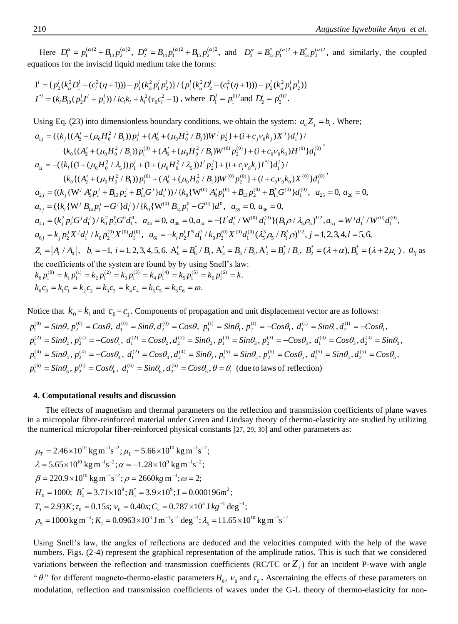Here  $D_1^{\alpha} = p_1^{(\alpha)2} + B_{13}p_2^{(\alpha)2}$ ,  $D_2^{\alpha} = B_{14}p_1^{(\alpha)2} + B_{15}p_2^{(\alpha)2}$ , and  $D_3^{\alpha} = B_{12}^*p_1^{(\alpha)2} + B_{13}^*p_2^{(\alpha)2}$ , and similarly, the coupled equations for the inviscid liquid medium take the forms:

$$
\begin{aligned} \mathbf{I}^l &= \{p_2^l(k_a^2D_1^l - (c_l^2(\eta + 1))) - p_1^l(k_a^2p_1^lp_2^l)\} / \{p_1^l(k_a^2D_2^l - (c_l^2(\eta + 1))) - p_2^l(k_a^2p_1^lp_2^l)\} \\ \mathbf{I}^{*l} &= (k_lB_{l0}(p_2^l\mathbf{I}^l + p_1^l)) / ic_lk_l + k_l^2(\tau_0c_l^2 - 1) \text{ , where } D_1^l = p_1^{002} \text{ and } D_2^l = p_2^{002}. \end{aligned}
$$

Using Eq. (23) into dimensionless boundary conditions, we obtain the system:  $a_{ij}Z_j = b_i$ . Where;  $a_{1j} = (\{k_j\{(A'_2 + (\mu_0H_0^2 / B_1))p'_1 + (A'_6 + (\mu_0H_0^2 / B_1))W^j p'_2\} + (i + c_jv_0k_j)X^j\}d'_1)$  ${k_0} { (A'_2 + (\mu_0 H_0^2 / B_1)) p_1^{(0)} + (A'_6 + (\mu_0 H_0^2 / B_1) W^{(0)} p_2^{(0)} + (i + c_0 v_0 k_0) H^{(0)} d_1^{(0)}}$  $a_{1l} = -({k_1\{(1+(\mu_0H_0^2/\lambda_5))p_1^l + (1+(\mu_0H_0^2/\lambda_5))I^l p_2^l\} + (i+c_l v_0k_l)I^{*l}\}d_1^l$  ${k_0} {(\Delta'_2 + (\mu_0 H_0^2 / B_1)) p_1^{(0)} + (\Delta'_6 + (\mu_0 H_0^2 / B_1)) W^{(0)} p_2^{(0)}} + (i + c_0 v_0 k_0) X^{(0)} d_1^{(0)}$  $a_{2j}=((k_{j}\{W^{j}A_{3}^{\prime}p_{1}^{j}+B_{13}p_{2}^{j}+B_{11}^{*}G^{j}\}d_{1}^{j}))/\{k_{0}\{W^{(0)}A_{3}^{\prime}p_{1}^{(0)}+B_{13}p_{2}^{(0)}+B_{11}^{*}G^{(0)}\}d_{1}^{(0)}, a_{25}=0, a_{26}=0,$  $a_{3j} = (\{k_i \{W^j B_{14} p_1^j - G^j\}d_1^j) / \{k_0\{W^{(0)} B_{14} p_1^0 - G^{(0)}\}d_1^0, a_{35} = 0, a_{36} = 0,$  $a_{4j} = (k_j^2 p_2^j G^j d_1^j) / k_0^2 p_2^0 G^0 d_1^0$ ,  $a_{45} = 0$ ,  $a_{46} = 0$ ,  $a_{5l} = -\{l^l d_1^l / W^{(0)} d_1^{(0)}\} (B_1 \rho / \lambda_5 \rho_5)^{1/2}$ ,  $a_{5j} = W^j d_1^j / W^{(0)} d_1^{(0)}$ ,  $a_{6j} = k_j p_2^j X^j d_1^j / k_0 p_2^{(0)} X^{(0)} d_1^{(0)}$ ,  $a_{6l} = -k_l p_2^l I^{*l} d_1^l / k_0 p_2^{(0)} X^{(0)} d_1^{(0)} (\lambda_5^3 \rho_5 / B_1^3 \rho)^{1/2}$ ,  $j = 1, 2, 3, 4, l = 5, 6$ ,  $Z_i = |A_i \, / \, A_0|$ ,  $b_i = -1$ ,  $i = 1, 2, 3, 4, 5, 6$ .  $A'_6 = B'_6 \, / \, B_1$ ,  $A'_3 = B_3 \, / \, B_1$ ,  $A'_2 = B'_2 \, / \, B_1$ ,  $B'_2 = (\lambda + \alpha)$ ,  $B'_6 = (\lambda + 2\mu)$ .  $a_{ij}$  as the coefficients of the system are found by by using Snell's law:  $k_0 p_1^{(0)} = k_1 p_1^{(1)} = k_2 p_1^{(2)} = k_3 p_1^{(3)} = k_4 p_1^{(4)} = k_5 p_1^{(5)} = k_6 p_1^{(6)} = k.$  $k_0 c_0 = k_1 c_1 = k_2 c_2 = k_3 c_3 = k_4 c_4 = k_5 c_5 = k_6 c_6 = \omega.$ 

Notice that  $k_0 = k_1$  and  $c_0 = c_1$ . Components of propagation and unit displacement vector are as follows:

 $p_1^{(0)} = \sin\theta, p_2^{(0)} = \cos\theta, d_1^{(0)} = \sin\theta, d_2^{(0)} = \cos\theta, p_1^{(1)} = \sin\theta_1, p_2^{(1)} = -\cos\theta_1, d_1^{(1)} = \sin\theta_1, d_2^{(1)} = -\cos\theta_1$  $p_1^{(2)} = \text{Sin}\theta_2, p_2^{(2)} = -\text{Cos}\theta_1, d_1^{(2)} = \text{Cos}\theta_2, d_2^{(2)} = \text{Sin}\theta_2, p_1^{(3)} = \text{Sin}\theta_3, p_2^{(3)} = -\text{Cos}\theta_3, d_1^{(3)} = \text{Cos}\theta_3, d_2^{(3)} = \text{Sin}\theta_3,$  $p_1^{(4)} = \sin\theta_4$ ,  $p_2^{(4)} = -\cos\theta_4$ ,  $d_1^{(2)} = \cos\theta_4$ ,  $d_2^{(4)} = \sin\theta_2$ ,  $p_1^{(5)} = \sin\theta_5$ ,  $p_2^{(5)} = \cos\theta_5$ ,  $d_1^{(5)} = \sin\theta_5$ ,  $d_2^{(5)} = \cos\theta_5$ ,  $p_1^{(6)} = \text{Sin}\theta_6, p_2^{(6)} = \text{Cos}\theta_6, d_1^{(6)} = \text{Sin}\theta_6, d_2^{(6)} = \text{Cos}\theta_6, \theta = \theta_1$  (due to laws of reflection)

## **4. Computational results and discussion**

The effects of magnetism and thermal parameters on the reflection and transmission coefficients of plane waves in a micropolar fibre-reinforced material under Green and Lindsay theory of thermo-elasticity are studied by utilizing the numerical micropolar fiber-reinforced physical constants [[27](#page-12-0), [29](#page-12-2), [30](#page-12-3)] and other parameters as:

$$
\mu_{\rm r} = 2.46 \times 10^{10} \text{ kg m}^{-1} \text{s}^{-2}; \mu_{\rm L} = 5.66 \times 10^{10} \text{ kg m}^{-1} \text{s}^{-2};
$$
  
\n
$$
\lambda = 5.65 \times 10^{10} \text{ kg m}^{-1} \text{s}^{-2}; \alpha = -1.28 \times 10^{9} \text{ kg m}^{-1} \text{s}^{-2};
$$
  
\n
$$
\beta = 220.9 \times 10^{10} \text{ kg m}^{-1} \text{s}^{-2}; \rho = 2660 \text{ kg m}^{-3}; \omega = 2;
$$
  
\n
$$
H_0 = 1000; \ B_4^* = 3.71 \times 10^9; B_5^* = 3.9 \times 10^9; \text{J} = 0.000196 \text{m}^2;
$$
  
\n
$$
T_0 = 2.93K; \tau_0 = 0.15s; \nu_0 = 0.40s; C_v = 0.787 \times 10^3 \text{ J kg}^{-1} \text{deg}^{-1};
$$
  
\n
$$
\rho_5 = 1000 \text{ kg m}^{-3}; K_1 = 0.0963 \times 10^3 \text{ J m}^{-1} \text{s}^{-1} \text{deg}^{-1}; \lambda_5 = 11.65 \times 10^{10} \text{ kg m}^{-1} \text{s}^{-2}
$$

Using Snell's law, the angles of reflections are deduced and the velocities computed with the help of the wave numbers. Figs. (2-4) represent the graphical representation of the amplitude ratios. This is such that we considered variations between the reflection and transmission coefficients (RC/TC or  $Z_i$ ) for an incident P-wave with angle " $\theta$ " for different magneto-thermo-elastic parameters  $H_0$ ,  $v_0$  and  $\tau_0$ . Ascertaining the effects of these parameters on modulation, reflection and transmission coefficients of waves under the G-L theory of thermo-elasticity for non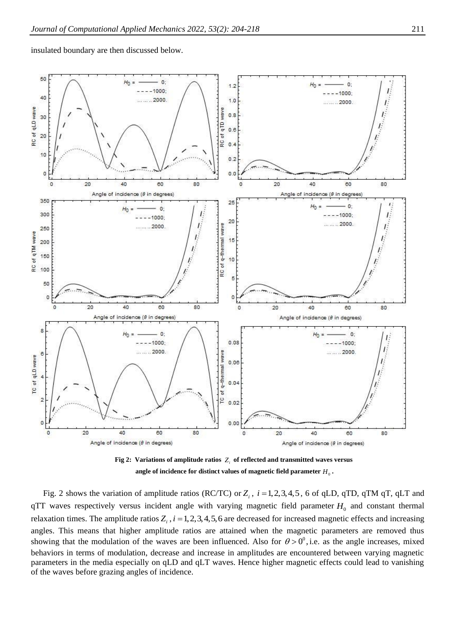insulated boundary are then discussed below.



**Fig 2: Variations of amplitude ratios**  *Zi* **of reflected and transmitted waves versus** angle of incidence for distinct values of magnetic field parameter  $H_0^+$  .

Fig. 2 shows the variation of amplitude ratios (RC/TC) or  $Z_i$ ,  $i = 1, 2, 3, 4, 5$ , 6 of qLD, qTD, qTM qT, qLT and  $qTT$  waves respectively versus incident angle with varying magnetic field parameter  $H_0$  and constant thermal relaxation times. The amplitude ratios  $Z_i$ ,  $i = 1, 2, 3, 4, 5, 6$  are decreased for increased magnetic effects and increasing angles. This means that higher amplitude ratios are attained when the magnetic parameters are removed thus showing that the modulation of the waves are been influenced. Also for  $\theta > 0^0$ , i.e. as the angle increases, mixed behaviors in terms of modulation, decrease and increase in amplitudes are encountered between varying magnetic parameters in the media especially on qLD and qLT waves. Hence higher magnetic effects could lead to vanishing of the waves before grazing angles of incidence.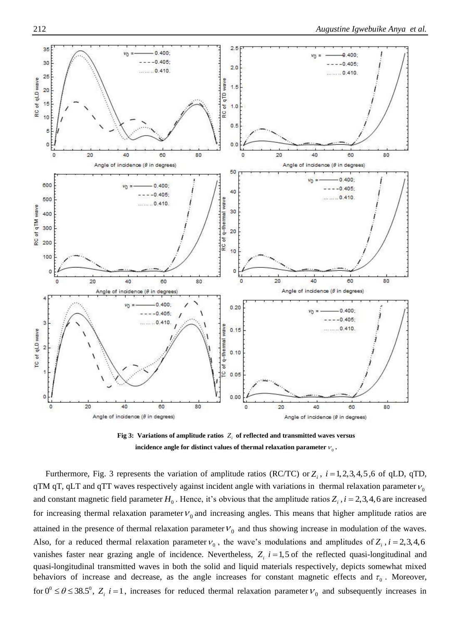

**Fig 3: Variations of amplitude ratios**  *Zi* **of reflected and transmitted waves versus** incidence angle for distinct values of thermal relaxation parameter  $v_{\rm o}$  .

Furthermore, Fig. 3 represents the variation of amplitude ratios (RC/TC) or  $Z_i$ ,  $i = 1,2,3,4,5,6$  of qLD, qTD, qTM qT, qLT and qTT waves respectively against incident angle with variations in thermal relaxation parameter  $v_c$ and constant magnetic field parameter  $H_0$ . Hence, it's obvious that the amplitude ratios  $Z_i$ ,  $i = 2,3,4,6$  are increased for increasing thermal relaxation parameter  $V_0$  and increasing angles. This means that higher amplitude ratios are attained in the presence of thermal relaxation parameter  $V_0$  and thus showing increase in modulation of the waves. Also, for a reduced thermal relaxation parameter  $v_0$ , the wave's modulations and amplitudes of  $Z_i$ ,  $i = 2,3,4,6$ vanishes faster near grazing angle of incidence. Nevertheless,  $Z_i$   $i = 1.5$  of the reflected quasi-longitudinal and quasi-longitudinal transmitted waves in both the solid and liquid materials respectively, depicts somewhat mixed behaviors of increase and decrease, as the angle increases for constant magnetic effects and  $\tau_0$ . Moreover, for  $0^0 \le \theta \le 38.5^0$ ,  $Z_i$  *i* = 1, increases for reduced thermal relaxation parameter  $V_0$  and subsequently increases in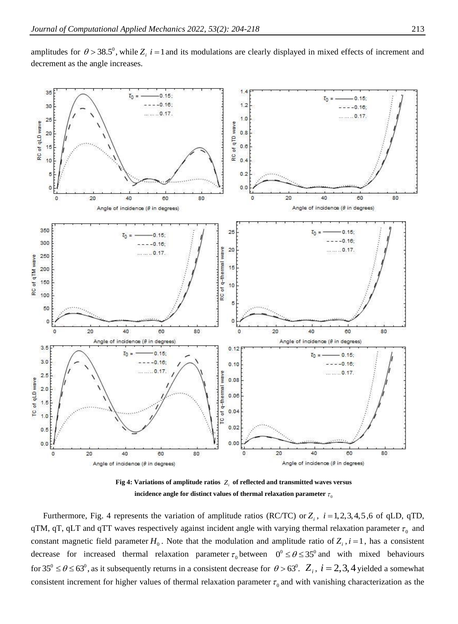

amplitudes for  $\theta > 38.5^{\circ}$ , while  $Z_i$  *i* = 1 and its modulations are clearly displayed in mixed effects of increment and decrement as the angle increases.

**Fig 4: Variations of amplitude ratios**  *Zi* **of reflected and transmitted waves versus** incidence angle for distinct values of thermal relaxation parameter  $\tau_{\rm c}$ 

Furthermore, Fig. 4 represents the variation of amplitude ratios (RC/TC) or  $Z_i$ ,  $i = 1,2,3,4,5,6$  of qLD, qTD, qTM, qT, qLT and qTT waves respectively against incident angle with varying thermal relaxation parameter  $\tau_0$  and constant magnetic field parameter  $H_0$ . Note that the modulation and amplitude ratio of  $Z_i$ ,  $i = 1$ , has a consistent decrease for increased thermal relaxation parameter  $\tau_0$  between  $0^\circ \leq \theta \leq 35^\circ$  and with mixed behaviours for  $35^{\circ} \le \theta \le 63^{\circ}$ , as it subsequently returns in a consistent decrease for  $\theta > 63^{\circ}$ .  $Z_i$ ,  $i = 2, 3, 4$  yielded a somewhat consistent increment for higher values of thermal relaxation parameter  $\tau_0$  and with vanishing characterization as the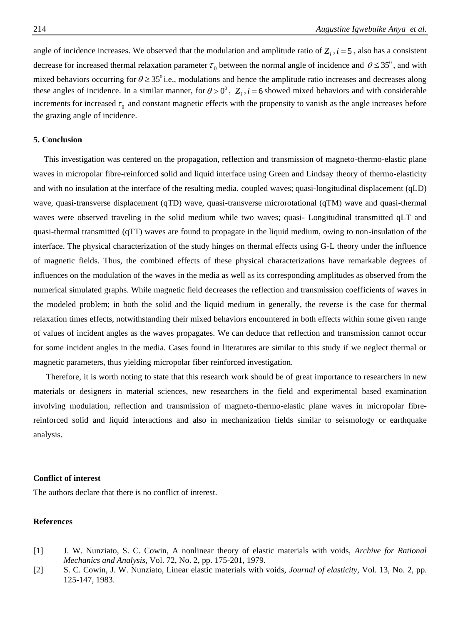angle of incidence increases. We observed that the modulation and amplitude ratio of  $Z_i$ ,  $i = 5$ , also has a consistent decrease for increased thermal relaxation parameter  $\tau_0$  between the normal angle of incidence and  $\theta \le 35^\circ$ , and with mixed behaviors occurring for  $\theta \ge 35^{\circ}$  i.e., modulations and hence the amplitude ratio increases and decreases along these angles of incidence. In a similar manner, for  $\theta > 0^0$ ,  $Z_i$ ,  $i = 6$  showed mixed behaviors and with considerable increments for increased  $\tau_0$  and constant magnetic effects with the propensity to vanish as the angle increases before the grazing angle of incidence.

## **5. Conclusion**

This investigation was centered on the propagation, reflection and transmission of magneto-thermo-elastic plane waves in micropolar fibre-reinforced solid and liquid interface using Green and Lindsay theory of thermo-elasticity and with no insulation at the interface of the resulting media. coupled waves; quasi-longitudinal displacement (qLD) wave, quasi-transverse displacement (qTD) wave, quasi-transverse microrotational (qTM) wave and quasi-thermal waves were observed traveling in the solid medium while two waves; quasi- Longitudinal transmitted qLT and quasi-thermal transmitted (qTT) waves are found to propagate in the liquid medium, owing to non-insulation of the interface. The physical characterization of the study hinges on thermal effects using G-L theory under the influence of magnetic fields. Thus, the combined effects of these physical characterizations have remarkable degrees of influences on the modulation of the waves in the media as well as its corresponding amplitudes as observed from the numerical simulated graphs. While magnetic field decreases the reflection and transmission coefficients of waves in the modeled problem; in both the solid and the liquid medium in generally, the reverse is the case for thermal relaxation times effects, notwithstanding their mixed behaviors encountered in both effects within some given range of values of incident angles as the waves propagates. We can deduce that reflection and transmission cannot occur for some incident angles in the media. Cases found in literatures are similar to this study if we neglect thermal or magnetic parameters, thus yielding micropolar fiber reinforced investigation.

 Therefore, it is worth noting to state that this research work should be of great importance to researchers in new materials or designers in material sciences, new researchers in the field and experimental based examination involving modulation, reflection and transmission of magneto-thermo-elastic plane waves in micropolar fibrereinforced solid and liquid interactions and also in mechanization fields similar to seismology or earthquake analysis.

## **Conflict of interest**

The authors declare that there is no conflict of interest.

# **References**

- <span id="page-10-0"></span>[1] J. W. Nunziato, S. C. Cowin, A nonlinear theory of elastic materials with voids, *Archive for Rational Mechanics and Analysis,* Vol. 72, No. 2, pp. 175-201, 1979.
- <span id="page-10-1"></span>[2] S. C. Cowin, J. W. Nunziato, Linear elastic materials with voids, *Journal of elasticity,* Vol. 13, No. 2, pp. 125-147, 1983.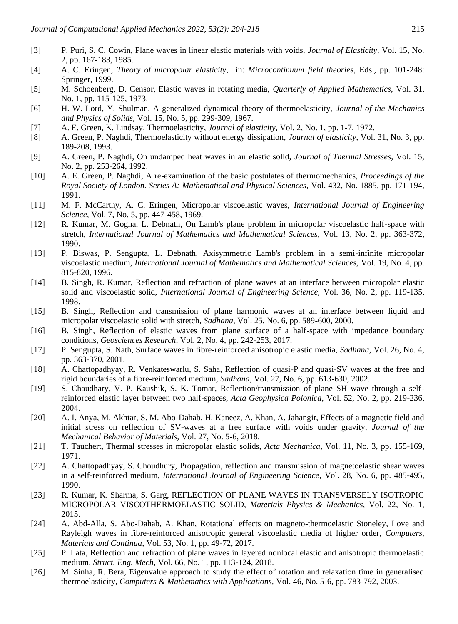- <span id="page-11-0"></span>[3] P. Puri, S. C. Cowin, Plane waves in linear elastic materials with voids, *Journal of Elasticity,* Vol. 15, No. 2, pp. 167-183, 1985.
- <span id="page-11-1"></span>[4] A. C. Eringen, *Theory of micropolar elasticity*, in: *Microcontinuum field theories*, Eds., pp. 101-248: Springer, 1999.
- <span id="page-11-2"></span>[5] M. Schoenberg, D. Censor, Elastic waves in rotating media, *Quarterly of Applied Mathematics,* Vol. 31, No. 1, pp. 115-125, 1973.
- <span id="page-11-3"></span>[6] H. W. Lord, Y. Shulman, A generalized dynamical theory of thermoelasticity, *Journal of the Mechanics and Physics of Solids,* Vol. 15, No. 5, pp. 299-309, 1967.
- <span id="page-11-4"></span>[7] A. E. Green, K. Lindsay, Thermoelasticity, *Journal of elasticity,* Vol. 2, No. 1, pp. 1-7, 1972.
- <span id="page-11-5"></span>[8] A. Green, P. Naghdi, Thermoelasticity without energy dissipation, *Journal of elasticity,* Vol. 31, No. 3, pp. 189-208, 1993.
- [9] A. Green, P. Naghdi, On undamped heat waves in an elastic solid, *Journal of Thermal Stresses,* Vol. 15, No. 2, pp. 253-264, 1992.
- [10] A. E. Green, P. Naghdi, A re-examination of the basic postulates of thermomechanics, *Proceedings of the Royal Society of London. Series A: Mathematical and Physical Sciences,* Vol. 432, No. 1885, pp. 171-194, 1991.
- <span id="page-11-6"></span>[11] M. F. McCarthy, A. C. Eringen, Micropolar viscoelastic waves, *International Journal of Engineering Science,* Vol. 7, No. 5, pp. 447-458, 1969.
- <span id="page-11-7"></span>[12] R. Kumar, M. Gogna, L. Debnath, On Lamb's plane problem in micropolar viscoelastic half-space with stretch, *International Journal of Mathematics and Mathematical Sciences,* Vol. 13, No. 2, pp. 363-372, 1990.
- <span id="page-11-8"></span>[13] P. Biswas, P. Sengupta, L. Debnath, Axisymmetric Lamb's problem in a semi-infinite micropolar viscoelastic medium, *International Journal of Mathematics and Mathematical Sciences,* Vol. 19, No. 4, pp. 815-820, 1996.
- <span id="page-11-9"></span>[14] B. Singh, R. Kumar, Reflection and refraction of plane waves at an interface between micropolar elastic solid and viscoelastic solid, *International Journal of Engineering Science,* Vol. 36, No. 2, pp. 119-135, 1998.
- <span id="page-11-10"></span>[15] B. Singh, Reflection and transmission of plane harmonic waves at an interface between liquid and micropolar viscoelastic solid with stretch, *Sadhana,* Vol. 25, No. 6, pp. 589-600, 2000.
- <span id="page-11-11"></span>[16] B. Singh, Reflection of elastic waves from plane surface of a half-space with impedance boundary conditions, *Geosciences Research,* Vol. 2, No. 4, pp. 242-253, 2017.
- <span id="page-11-12"></span>[17] P. Sengupta, S. Nath, Surface waves in fibre-reinforced anisotropic elastic media, *Sadhana,* Vol. 26, No. 4, pp. 363-370, 2001.
- <span id="page-11-13"></span>[18] A. Chattopadhyay, R. Venkateswarlu, S. Saha, Reflection of quasi-P and quasi-SV waves at the free and rigid boundaries of a fibre-reinforced medium, *Sadhana,* Vol. 27, No. 6, pp. 613-630, 2002.
- <span id="page-11-14"></span>[19] S. Chaudhary, V. P. Kaushik, S. K. Tomar, Reflection/transmission of plane SH wave through a selfreinforced elastic layer between two half-spaces, *Acta Geophysica Polonica,* Vol. 52, No. 2, pp. 219-236, 2004.
- <span id="page-11-15"></span>[20] A. I. Anya, M. Akhtar, S. M. Abo-Dahab, H. Kaneez, A. Khan, A. Jahangir, Effects of a magnetic field and initial stress on reflection of SV-waves at a free surface with voids under gravity, *Journal of the Mechanical Behavior of Materials,* Vol. 27, No. 5-6, 2018.
- <span id="page-11-16"></span>[21] T. Tauchert, Thermal stresses in micropolar elastic solids, *Acta Mechanica,* Vol. 11, No. 3, pp. 155-169, 1971.
- <span id="page-11-17"></span>[22] A. Chattopadhyay, S. Choudhury, Propagation, reflection and transmission of magnetoelastic shear waves in a self-reinforced medium, *International Journal of Engineering Science,* Vol. 28, No. 6, pp. 485-495, 1990.
- <span id="page-11-18"></span>[23] R. Kumar, K. Sharma, S. Garg, REFLECTION OF PLANE WAVES IN TRANSVERSELY ISOTROPIC MICROPOLAR VISCOTHERMOELASTIC SOLID, *Materials Physics & Mechanics,* Vol. 22, No. 1, 2015.
- <span id="page-11-19"></span>[24] A. Abd-Alla, S. Abo-Dahab, A. Khan, Rotational effects on magneto-thermoelastic Stoneley, Love and Rayleigh waves in fibre-reinforced anisotropic general viscoelastic media of higher order, *Computers, Materials and Continua,* Vol. 53, No. 1, pp. 49-72, 2017.
- <span id="page-11-20"></span>[25] P. Lata, Reflection and refraction of plane waves in layered nonlocal elastic and anisotropic thermoelastic medium, *Struct. Eng. Mech,* Vol. 66, No. 1, pp. 113-124, 2018.
- <span id="page-11-21"></span>[26] M. Sinha, R. Bera, Eigenvalue approach to study the effect of rotation and relaxation time in generalised thermoelasticity, *Computers & Mathematics with Applications,* Vol. 46, No. 5-6, pp. 783-792, 2003.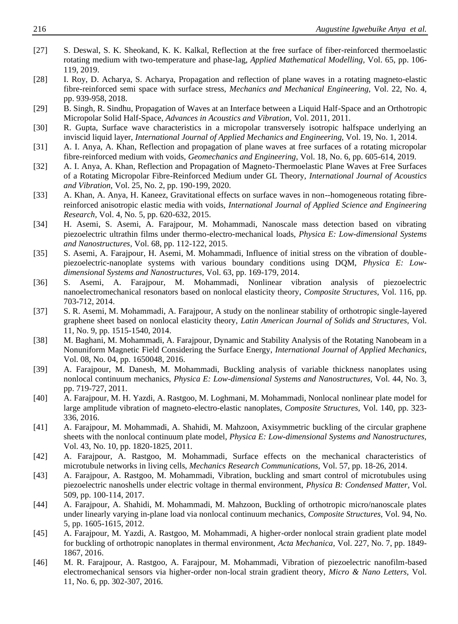- <span id="page-12-0"></span>[27] S. Deswal, S. K. Sheokand, K. K. Kalkal, Reflection at the free surface of fiber-reinforced thermoelastic rotating medium with two-temperature and phase-lag, *Applied Mathematical Modelling,* Vol. 65, pp. 106- 119, 2019.
- <span id="page-12-1"></span>[28] I. Roy, D. Acharya, S. Acharya, Propagation and reflection of plane waves in a rotating magneto-elastic fibre-reinforced semi space with surface stress, *Mechanics and Mechanical Engineering,* Vol. 22, No. 4, pp. 939-958, 2018.
- <span id="page-12-2"></span>[29] B. Singh, R. Sindhu, Propagation of Waves at an Interface between a Liquid Half-Space and an Orthotropic Micropolar Solid Half-Space, *Advances in Acoustics and Vibration,* Vol. 2011, 2011.
- <span id="page-12-3"></span>[30] R. Gupta, Surface wave characteristics in a micropolar transversely isotropic halfspace underlying an inviscid liquid layer, *International Journal of Applied Mechanics and Engineering,* Vol. 19, No. 1, 2014.
- <span id="page-12-4"></span>[31] A. I. Anya, A. Khan, Reflection and propagation of plane waves at free surfaces of a rotating micropolar fibre-reinforced medium with voids, *Geomechanics and Engineering,* Vol. 18, No. 6, pp. 605-614, 2019.
- [32] A. I. Anya, A. Khan, Reflection and Propagation of Magneto-Thermoelastic Plane Waves at Free Surfaces of a Rotating Micropolar Fibre-Reinforced Medium under GL Theory, *International Journal of Acoustics and Vibration,* Vol. 25, No. 2, pp. 190-199, 2020.
- [33] A. Khan, A. Anya, H. Kaneez, Gravitational effects on surface waves in non--homogeneous rotating fibrereinforced anisotropic elastic media with voids, *International Journal of Applied Science and Engineering Research,* Vol. 4, No. 5, pp. 620-632, 2015.
- <span id="page-12-5"></span>[34] H. Asemi, S. Asemi, A. Farajpour, M. Mohammadi, Nanoscale mass detection based on vibrating piezoelectric ultrathin films under thermo-electro-mechanical loads, *Physica E: Low-dimensional Systems and Nanostructures,* Vol. 68, pp. 112-122, 2015.
- [35] S. Asemi, A. Farajpour, H. Asemi, M. Mohammadi, Influence of initial stress on the vibration of doublepiezoelectric-nanoplate systems with various boundary conditions using DQM, *Physica E: Lowdimensional Systems and Nanostructures,* Vol. 63, pp. 169-179, 2014.
- [36] S. Asemi, A. Farajpour, M. Mohammadi, Nonlinear vibration analysis of piezoelectric nanoelectromechanical resonators based on nonlocal elasticity theory, *Composite Structures,* Vol. 116, pp. 703-712, 2014.
- [37] S. R. Asemi, M. Mohammadi, A. Farajpour, A study on the nonlinear stability of orthotropic single-layered graphene sheet based on nonlocal elasticity theory, *Latin American Journal of Solids and Structures,* Vol. 11, No. 9, pp. 1515-1540, 2014.
- <span id="page-12-6"></span>[38] M. Baghani, M. Mohammadi, A. Farajpour, Dynamic and Stability Analysis of the Rotating Nanobeam in a Nonuniform Magnetic Field Considering the Surface Energy, *International Journal of Applied Mechanics,* Vol. 08, No. 04, pp. 1650048, 2016.
- <span id="page-12-7"></span>[39] A. Farajpour, M. Danesh, M. Mohammadi, Buckling analysis of variable thickness nanoplates using nonlocal continuum mechanics, *Physica E: Low-dimensional Systems and Nanostructures,* Vol. 44, No. 3, pp. 719-727, 2011.
- [40] A. Farajpour, M. H. Yazdi, A. Rastgoo, M. Loghmani, M. Mohammadi, Nonlocal nonlinear plate model for large amplitude vibration of magneto-electro-elastic nanoplates, *Composite Structures,* Vol. 140, pp. 323- 336, 2016.
- [41] A. Farajpour, M. Mohammadi, A. Shahidi, M. Mahzoon, Axisymmetric buckling of the circular graphene sheets with the nonlocal continuum plate model, *Physica E: Low-dimensional Systems and Nanostructures,* Vol. 43, No. 10, pp. 1820-1825, 2011.
- [42] A. Farajpour, A. Rastgoo, M. Mohammadi, Surface effects on the mechanical characteristics of microtubule networks in living cells, *Mechanics Research Communications,* Vol. 57, pp. 18-26, 2014.
- [43] A. Farajpour, A. Rastgoo, M. Mohammadi, Vibration, buckling and smart control of microtubules using piezoelectric nanoshells under electric voltage in thermal environment, *Physica B: Condensed Matter,* Vol. 509, pp. 100-114, 2017.
- [44] A. Farajpour, A. Shahidi, M. Mohammadi, M. Mahzoon, Buckling of orthotropic micro/nanoscale plates under linearly varying in-plane load via nonlocal continuum mechanics, *Composite Structures,* Vol. 94, No. 5, pp. 1605-1615, 2012.
- [45] A. Farajpour, M. Yazdi, A. Rastgoo, M. Mohammadi, A higher-order nonlocal strain gradient plate model for buckling of orthotropic nanoplates in thermal environment, *Acta Mechanica,* Vol. 227, No. 7, pp. 1849- 1867, 2016.
- [46] M. R. Farajpour, A. Rastgoo, A. Farajpour, M. Mohammadi, Vibration of piezoelectric nanofilm-based electromechanical sensors via higher-order non-local strain gradient theory, *Micro & Nano Letters,* Vol. 11, No. 6, pp. 302-307, 2016.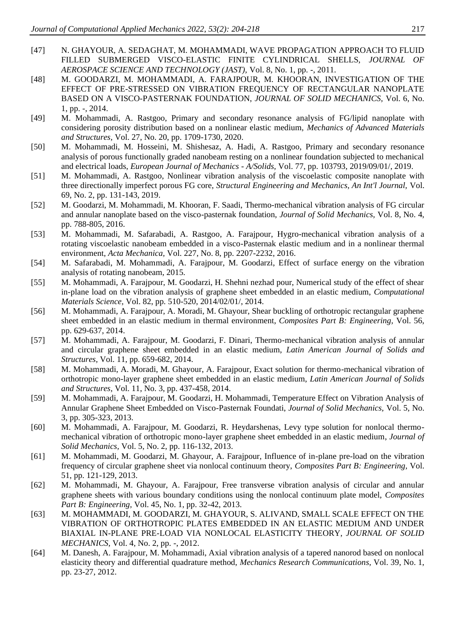- <span id="page-13-0"></span>[47] N. GHAYOUR, A. SEDAGHAT, M. MOHAMMADI, WAVE PROPAGATION APPROACH TO FLUID FILLED SUBMERGED VISCO-ELASTIC FINITE CYLINDRICAL SHELLS, *JOURNAL OF AEROSPACE SCIENCE AND TECHNOLOGY (JAST),* Vol. 8, No. 1, pp. -, 2011.
- <span id="page-13-1"></span>[48] M. GOODARZI, M. MOHAMMADI, A. FARAJPOUR, M. KHOORAN, INVESTIGATION OF THE EFFECT OF PRE-STRESSED ON VIBRATION FREQUENCY OF RECTANGULAR NANOPLATE BASED ON A VISCO-PASTERNAK FOUNDATION, *JOURNAL OF SOLID MECHANICS,* Vol. 6, No. 1, pp. -, 2014.
- [49] M. Mohammadi, A. Rastgoo, Primary and secondary resonance analysis of FG/lipid nanoplate with considering porosity distribution based on a nonlinear elastic medium, *Mechanics of Advanced Materials and Structures,* Vol. 27, No. 20, pp. 1709-1730, 2020.
- [50] M. Mohammadi, M. Hosseini, M. Shishesaz, A. Hadi, A. Rastgoo, Primary and secondary resonance analysis of porous functionally graded nanobeam resting on a nonlinear foundation subjected to mechanical and electrical loads, *European Journal of Mechanics - A/Solids,* Vol. 77, pp. 103793, 2019/09/01/, 2019.
- [51] M. Mohammadi, A. Rastgoo, Nonlinear vibration analysis of the viscoelastic composite nanoplate with three directionally imperfect porous FG core, *Structural Engineering and Mechanics, An Int'l Journal,* Vol. 69, No. 2, pp. 131-143, 2019.
- [52] M. Goodarzi, M. Mohammadi, M. Khooran, F. Saadi, Thermo-mechanical vibration analysis of FG circular and annular nanoplate based on the visco-pasternak foundation, *Journal of Solid Mechanics,* Vol. 8, No. 4, pp. 788-805, 2016.
- [53] M. Mohammadi, M. Safarabadi, A. Rastgoo, A. Farajpour, Hygro-mechanical vibration analysis of a rotating viscoelastic nanobeam embedded in a visco-Pasternak elastic medium and in a nonlinear thermal environment, *Acta Mechanica,* Vol. 227, No. 8, pp. 2207-2232, 2016.
- <span id="page-13-2"></span>[54] M. Safarabadi, M. Mohammadi, A. Farajpour, M. Goodarzi, Effect of surface energy on the vibration analysis of rotating nanobeam, 2015.
- [55] M. Mohammadi, A. Farajpour, M. Goodarzi, H. Shehni nezhad pour, Numerical study of the effect of shear in-plane load on the vibration analysis of graphene sheet embedded in an elastic medium, *Computational Materials Science,* Vol. 82, pp. 510-520, 2014/02/01/, 2014.
- [56] M. Mohammadi, A. Farajpour, A. Moradi, M. Ghayour, Shear buckling of orthotropic rectangular graphene sheet embedded in an elastic medium in thermal environment, *Composites Part B: Engineering,* Vol. 56, pp. 629-637, 2014.
- [57] M. Mohammadi, A. Farajpour, M. Goodarzi, F. Dinari, Thermo-mechanical vibration analysis of annular and circular graphene sheet embedded in an elastic medium, *Latin American Journal of Solids and Structures,* Vol. 11, pp. 659-682, 2014.
- [58] M. Mohammadi, A. Moradi, M. Ghayour, A. Farajpour, Exact solution for thermo-mechanical vibration of orthotropic mono-layer graphene sheet embedded in an elastic medium, *Latin American Journal of Solids and Structures,* Vol. 11, No. 3, pp. 437-458, 2014.
- [59] M. Mohammadi, A. Farajpour, M. Goodarzi, H. Mohammadi, Temperature Effect on Vibration Analysis of Annular Graphene Sheet Embedded on Visco-Pasternak Foundati, *Journal of Solid Mechanics,* Vol. 5, No. 3, pp. 305-323, 2013.
- [60] M. Mohammadi, A. Farajpour, M. Goodarzi, R. Heydarshenas, Levy type solution for nonlocal thermomechanical vibration of orthotropic mono-layer graphene sheet embedded in an elastic medium, *Journal of Solid Mechanics,* Vol. 5, No. 2, pp. 116-132, 2013.
- [61] M. Mohammadi, M. Goodarzi, M. Ghayour, A. Farajpour, Influence of in-plane pre-load on the vibration frequency of circular graphene sheet via nonlocal continuum theory, *Composites Part B: Engineering,* Vol. 51, pp. 121-129, 2013.
- [62] M. Mohammadi, M. Ghayour, A. Farajpour, Free transverse vibration analysis of circular and annular graphene sheets with various boundary conditions using the nonlocal continuum plate model, *Composites Part B: Engineering,* Vol. 45, No. 1, pp. 32-42, 2013.
- [63] M. MOHAMMADI, M. GOODARZI, M. GHAYOUR, S. ALIVAND, SMALL SCALE EFFECT ON THE VIBRATION OF ORTHOTROPIC PLATES EMBEDDED IN AN ELASTIC MEDIUM AND UNDER BIAXIAL IN-PLANE PRE-LOAD VIA NONLOCAL ELASTICITY THEORY, *JOURNAL OF SOLID MECHANICS,* Vol. 4, No. 2, pp. -, 2012.
- <span id="page-13-3"></span>[64] M. Danesh, A. Farajpour, M. Mohammadi, Axial vibration analysis of a tapered nanorod based on nonlocal elasticity theory and differential quadrature method, *Mechanics Research Communications,* Vol. 39, No. 1, pp. 23-27, 2012.